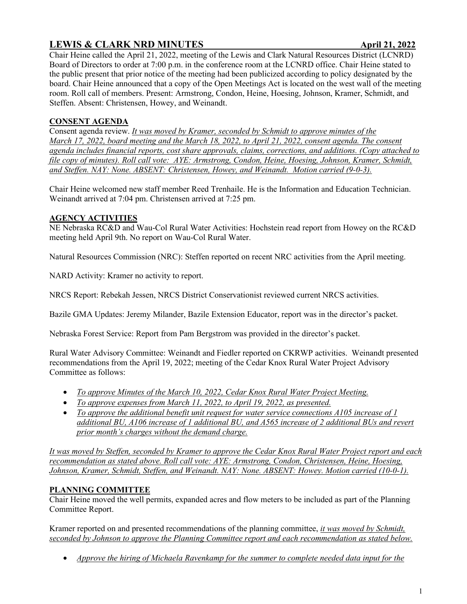# **LEWIS & CLARK NRD MINUTES** April 21, 2022

Chair Heine called the April 21, 2022, meeting of the Lewis and Clark Natural Resources District (LCNRD) Board of Directors to order at 7:00 p.m. in the conference room at the LCNRD office. Chair Heine stated to the public present that prior notice of the meeting had been publicized according to policy designated by the board. Chair Heine announced that a copy of the Open Meetings Act is located on the west wall of the meeting room. Roll call of members. Present: Armstrong, Condon, Heine, Hoesing, Johnson, Kramer, Schmidt, and Steffen. Absent: Christensen, Howey, and Weinandt.

## **CONSENT AGENDA**

Consent agenda review. *It was moved by Kramer, seconded by Schmidt to approve minutes of the March 17, 2022, board meeting and the March 18, 2022, to April 21, 2022, consent agenda. The consent agenda includes financial reports, cost share approvals, claims, corrections, and additions. (Copy attached to file copy of minutes). Roll call vote: AYE: Armstrong, Condon, Heine, Hoesing, Johnson, Kramer, Schmidt, and Steffen. NAY: None. ABSENT: Christensen, Howey, and Weinandt. Motion carried (9-0-3).*

Chair Heine welcomed new staff member Reed Trenhaile. He is the Information and Education Technician. Weinandt arrived at 7:04 pm. Christensen arrived at 7:25 pm.

### **AGENCY ACTIVITIES**

NE Nebraska RC&D and Wau-Col Rural Water Activities: Hochstein read report from Howey on the RC&D meeting held April 9th. No report on Wau-Col Rural Water.

Natural Resources Commission (NRC): Steffen reported on recent NRC activities from the April meeting.

NARD Activity: Kramer no activity to report.

NRCS Report: Rebekah Jessen, NRCS District Conservationist reviewed current NRCS activities.

Bazile GMA Updates: Jeremy Milander, Bazile Extension Educator, report was in the director's packet.

Nebraska Forest Service: Report from Pam Bergstrom was provided in the director's packet.

Rural Water Advisory Committee: Weinandt and Fiedler reported on CKRWP activities. Weinandt presented recommendations from the April 19, 2022; meeting of the Cedar Knox Rural Water Project Advisory Committee as follows:

- *To approve Minutes of the March 10, 2022, Cedar Knox Rural Water Project Meeting.*
- *To approve expenses from March 11, 2022, to April 19, 2022, as presented.*
- *To approve the additional benefit unit request for water service connections A105 increase of 1 additional BU, A106 increase of 1 additional BU, and A565 increase of 2 additional BUs and revert prior month's charges without the demand charge.*

*It was moved by Steffen, seconded by Kramer to approve the Cedar Knox Rural Water Project report and each recommendation as stated above. Roll call vote: AYE: Armstrong, Condon, Christensen, Heine, Hoesing, Johnson, Kramer, Schmidt, Steffen, and Weinandt. NAY: None. ABSENT: Howey. Motion carried (10-0-1).*

### **PLANNING COMMITTEE**

Chair Heine moved the well permits, expanded acres and flow meters to be included as part of the Planning Committee Report.

Kramer reported on and presented recommendations of the planning committee, *it was moved by Schmidt, seconded by Johnson to approve the Planning Committee report and each recommendation as stated below.*

• *Approve the hiring of Michaela Ravenkamp for the summer to complete needed data input for the*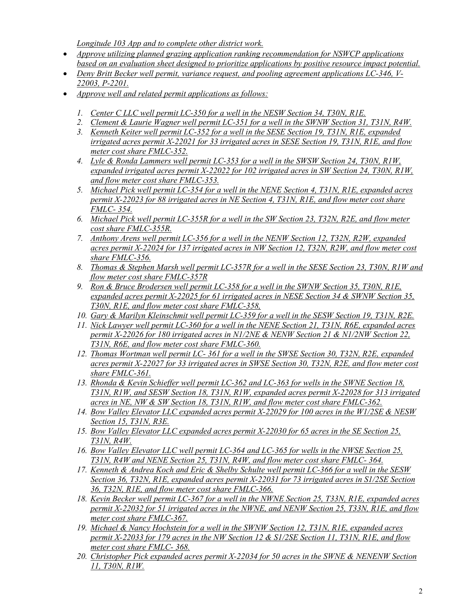*Longitude 103 App and to complete other district work.* 

- *Approve utilizing planned grazing application ranking recommendation for NSWCP applications based on an evaluation sheet designed to prioritize applications by positive resource impact potential.*
- *Deny Britt Becker well permit, variance request, and pooling agreement applications LC-346, V-22003, P-2201.*
- *Approve well and related permit applications as follows:*
	- *1. Center C LLC well permit LC-350 for a well in the NESW Section 34, T30N, R1E.*
	- *2. Clement & Laurie Wagner well permit LC-351 for a well in the SWNW Section 31, T31N, R4W.*
	- *3. Kenneth Keiter well permit LC-352 for a well in the SESE Section 19, T31N, R1E, expanded irrigated acres permit X-22021 for 33 irrigated acres in SESE Section 19, T31N, R1E, and flow meter cost share FMLC-352.*
	- *4. Lyle & Ronda Lammers well permit LC-353 for a well in the SWSW Section 24, T30N, R1W, expanded irrigated acres permit X-22022 for 102 irrigated acres in SW Section 24, T30N, R1W, and flow meter cost share FMLC-353.*
	- *5. Michael Pick well permit LC-354 for a well in the NENE Section 4, T31N, R1E, expanded acres permit X-22023 for 88 irrigated acres in NE Section 4, T31N, R1E, and flow meter cost share FMLC- 354.*
	- *6. Michael Pick well permit LC-355R for a well in the SW Section 23, T32N, R2E, and flow meter cost share FMLC-355R.*
	- *7. Anthony Arens well permit LC-356 for a well in the NENW Section 12, T32N, R2W, expanded acres permit X-22024 for 137 irrigated acres in NW Section 12, T32N, R2W, and flow meter cost share FMLC-356.*
	- *8. Thomas & Stephen Marsh well permit LC-357R for a well in the SESE Section 23, T30N, R1W and flow meter cost share FMLC-357R*
	- *9. Ron & Bruce Brodersen well permit LC-358 for a well in the SWNW Section 35, T30N, R1E, expanded acres permit X-22025 for 61 irrigated acres in NESE Section 34 & SWNW Section 35, T30N, R1E, and flow meter cost share FMLC-358,*
	- *10. Gary & Marilyn Kleinschmit well permit LC-359 for a well in the SESW Section 19, T31N, R2E.*
	- *11. Nick Lawyer well permit LC-360 for a well in the NENE Section 21, T31N, R6E, expanded acres permit X-22026 for 180 irrigated acres in N1/2NE & NENW Section 21 & N1/2NW Section 22, T31N, R6E, and flow meter cost share FMLC-360.*
	- *12. Thomas Wortman well permit LC- 361 for a well in the SWSE Section 30, T32N, R2E, expanded acres permit X-22027 for 33 irrigated acres in SWSE Section 30, T32N, R2E, and flow meter cost share FMLC-361.*
	- *13. Rhonda & Kevin Schieffer well permit LC-362 and LC-363 for wells in the SWNE Section 18, T31N, R1W, and SESW Section 18, T31N, R1W, expanded acres permit X-22028 for 313 irrigated acres in NE, NW & SW Section 18, T31N, R1W, and flow meter cost share FMLC-362.*
	- *14. Bow Valley Elevator LLC expanded acres permit X-22029 for 100 acres in the W1/2SE & NESW Section 15, T31N, R3E.*
	- *15. Bow Valley Elevator LLC expanded acres permit X-22030 for 65 acres in the SE Section 25, T31N, R4W.*
	- *16. Bow Valley Elevator LLC well permit LC-364 and LC-365 for wells in the NWSE Section 25, T31N, R4W and NENE Section 25, T31N, R4W, and flow meter cost share FMLC- 364.*
	- *17. Kenneth & Andrea Koch and Eric & Shelby Schulte well permit LC-366 for a well in the SESW Section 36, T32N, R1E, expanded acres permit X-22031 for 73 irrigated acres in S1/2SE Section 36, T32N, R1E, and flow meter cost share FMLC-366.*
	- *18. Kevin Becker well permit LC-367 for a well in the NWNE Section 25, T33N, R1E, expanded acres permit X-22032 for 51 irrigated acres in the NWNE, and NENW Section 25, T33N, R1E, and flow meter cost share FMLC-367.*
	- *19. Michael & Nancy Hochstein for a well in the SWNW Section 12, T31N, R1E, expanded acres permit X-22033 for 179 acres in the NW Section 12 & S1/2SE Section 11, T31N, R1E, and flow meter cost share FMLC- 368.*
	- *20. Christopher Pick expanded acres permit X-22034 for 50 acres in the SWNE & NENENW Section 11, T30N, R1W.*